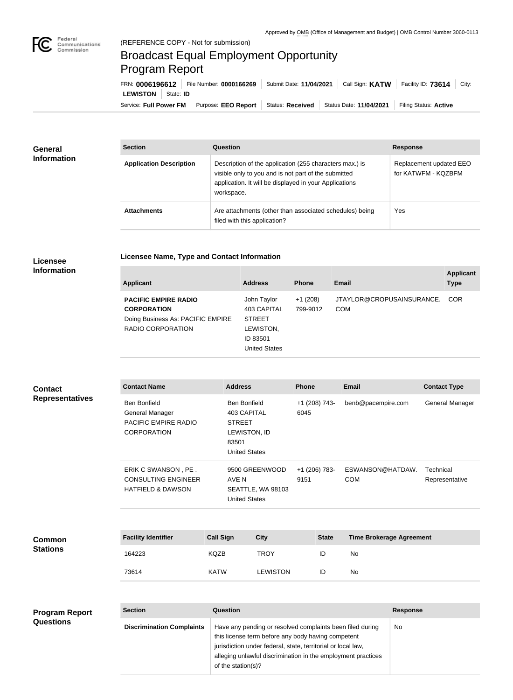

## Broadcast Equal Employment Opportunity Program Report

**Licensee Name, Type and Contact Information**

Service: Full Power FM Purpose: EEO Report | Status: Received | Status Date: 11/04/2021 | Filing Status: Active **LEWISTON** State: **ID** FRN: **0006196612** File Number: **0000166269** Submit Date: **11/04/2021** Call Sign: **KATW** Facility ID: **73614** City:

| General<br><b>Information</b> | <b>Section</b>                 | Question                                                                                                                                                                                | <b>Response</b>                                |  |
|-------------------------------|--------------------------------|-----------------------------------------------------------------------------------------------------------------------------------------------------------------------------------------|------------------------------------------------|--|
|                               | <b>Application Description</b> | Description of the application (255 characters max.) is<br>visible only to you and is not part of the submitted<br>application. It will be displayed in your Applications<br>workspace. | Replacement updated EEO<br>for KATWFM - KQZBFM |  |
|                               | <b>Attachments</b>             | Are attachments (other than associated schedules) being<br>filed with this application?                                                                                                 | Yes                                            |  |

## **Licensee Information**

| <b>Applicant</b>                                              | <b>Address</b>                                                 | <b>Phone</b>          | <b>Email</b>                            | <b>Applicant</b><br><b>Type</b> |
|---------------------------------------------------------------|----------------------------------------------------------------|-----------------------|-----------------------------------------|---------------------------------|
| <b>PACIFIC EMPIRE RADIO</b><br><b>CORPORATION</b>             | John Taylor<br>403 CAPITAL                                     | $+1(208)$<br>799-9012 | JTAYLOR@CROPUSAINSURANCE.<br><b>COM</b> | <b>COR</b>                      |
| Doing Business As: PACIFIC EMPIRE<br><b>RADIO CORPORATION</b> | <b>STREET</b><br>LEWISTON,<br>ID 83501<br><b>United States</b> |                       |                                         |                                 |

| <b>Contact</b>         |
|------------------------|
| <b>Representatives</b> |

**Common Stations**

|         | <b>Contact Name</b>                                                                  | <b>Address</b>         |                                                                            | <b>Phone</b>          | <b>Email</b>                    | <b>Contact Type</b>         |
|---------|--------------------------------------------------------------------------------------|------------------------|----------------------------------------------------------------------------|-----------------------|---------------------------------|-----------------------------|
| tatives | <b>Ben Bonfield</b><br>General Manager<br>PACIFIC EMPIRE RADIO<br><b>CORPORATION</b> | <b>STREET</b><br>83501 | <b>Ben Bonfield</b><br>403 CAPITAL<br>LEWISTON, ID<br><b>United States</b> | +1 (208) 743-<br>6045 | benb@pacempire.com              | General Manager             |
|         | ERIK C SWANSON, PE.<br><b>CONSULTING ENGINEER</b><br><b>HATFIELD &amp; DAWSON</b>    | AVE N                  | 9500 GREENWOOD<br>SEATTLE, WA 98103<br><b>United States</b>                | +1 (206) 783-<br>9151 | ESWANSON@HATDAW.<br><b>COM</b>  | Technical<br>Representative |
|         | <b>Facility Identifier</b>                                                           | <b>Call Sign</b>       | <b>City</b>                                                                | <b>State</b>          | <b>Time Brokerage Agreement</b> |                             |
|         | 164223                                                                               | KQZB                   | <b>TROY</b>                                                                | ID                    | No                              |                             |
|         | 73614                                                                                | <b>KATW</b>            | <b>LEWISTON</b>                                                            | ID                    | No                              |                             |
|         |                                                                                      |                        |                                                                            |                       |                                 |                             |

| <b>Program Report</b> | <b>Section</b>                   | <b>Question</b>                                                                                                                                                                                                                                                       | <b>Response</b> |
|-----------------------|----------------------------------|-----------------------------------------------------------------------------------------------------------------------------------------------------------------------------------------------------------------------------------------------------------------------|-----------------|
| <b>Questions</b>      | <b>Discrimination Complaints</b> | Have any pending or resolved complaints been filed during<br>this license term before any body having competent<br>jurisdiction under federal, state, territorial or local law,<br>alleging unlawful discrimination in the employment practices<br>of the station(s)? | No.             |
|                       |                                  |                                                                                                                                                                                                                                                                       |                 |